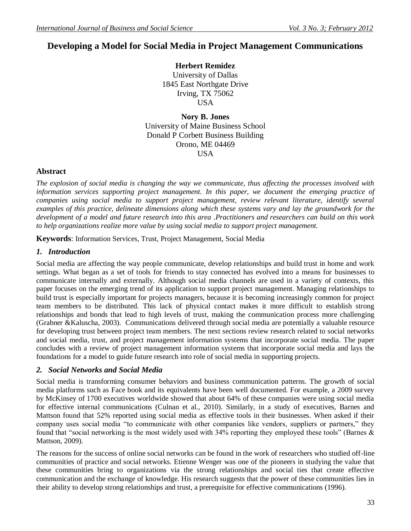# **Developing a Model for Social Media in Project Management Communications**

**Herbert Remidez** University of Dallas 1845 East Northgate Drive Irving, TX 75062 USA

**Nory B. Jones** University of Maine Business School Donald P Corbett Business Building Orono, ME 04469 USA

#### **Abstract**

*The explosion of social media is changing the way we communicate, thus affecting the processes involved with information services supporting project management. In this paper, we document the emerging practice of companies using social media to support project management, review relevant literature, identify several examples of this practice, delineate dimensions along which these systems vary and lay the groundwork for the development of a model and future research into this area .Practitioners and researchers can build on this work to help organizations realize more value by using social media to support project management.*

**Keywords**: Information Services, Trust, Project Management, Social Media

## *1. Introduction*

Social media are affecting the way people communicate, develop relationships and build trust in home and work settings. What began as a set of tools for friends to stay connected has evolved into a means for businesses to communicate internally and externally. Although social media channels are used in a variety of contexts, this paper focuses on the emerging trend of its application to support project management. Managing relationships to build trust is especially important for projects managers, because it is becoming increasingly common for project team members to be distributed. This lack of physical contact makes it more difficult to establish strong relationships and bonds that lead to high levels of trust, making the communication process more challenging (Grabner &Kaluscha, 2003). Communications delivered through social media are potentially a valuable resource for developing trust between project team members. The next sections review research related to social networks and social media, trust, and project management information systems that incorporate social media. The paper concludes with a review of project management information systems that incorporate social media and lays the foundations for a model to guide future research into role of social media in supporting projects.

## *2. Social Networks and Social Media*

Social media is transforming consumer behaviors and business communication patterns. The growth of social media platforms such as Face book and its equivalents have been well documented. For example, a 2009 survey by McKinsey of 1700 executives worldwide showed that about 64% of these companies were using social media for effective internal communications (Culnan et al., 2010). Similarly, in a study of executives, Barnes and Mattson found that 52% reported using social media as effective tools in their businesses. When asked if their company uses social media "to communicate with other companies like vendors, suppliers or partners," they found that "social networking is the most widely used with 34% reporting they employed these tools" (Barnes & Mattson, 2009).

The reasons for the success of online social networks can be found in the work of researchers who studied off-line communities of practice and social networks. Etienne Wenger was one of the pioneers in studying the value that these communities bring to organizations via the strong relationships and social ties that create effective communication and the exchange of knowledge. His research suggests that the power of these communities lies in their ability to develop strong relationships and trust, a prerequisite for effective communications (1996).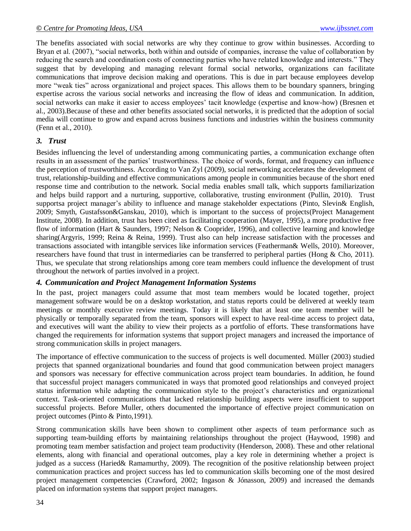The benefits associated with social networks are why they continue to grow within businesses. According to Bryan et al. (2007), "social networks, both within and outside of companies, increase the value of collaboration by reducing the search and coordination costs of connecting parties who have related knowledge and interests." They suggest that by developing and managing relevant formal social networks, organizations can facilitate communications that improve decision making and operations. This is due in part because employees develop more "weak ties" across organizational and project spaces. This allows them to be boundary spanners, bringing expertise across the various social networks and increasing the flow of ideas and communication. In addition, social networks can make it easier to access employees' tacit knowledge (expertise and know-how) (Bresnen et al., 2003).Because of these and other benefits associated social networks, it is predicted that the adoption of social media will continue to grow and expand across business functions and industries within the business community (Fenn et al., 2010).

#### *3. Trust*

Besides influencing the level of understanding among communicating parties, a communication exchange often results in an assessment of the parties' trustworthiness. The choice of words, format, and frequency can influence the perception of trustworthiness. According to Van Zyl (2009), social networking accelerates the development of trust, relationship-building and effective communications among people in communities because of the short ened response time and contribution to the network. Social media enables small talk, which supports familiarization and helps build rapport and a nurturing, supportive, collaborative, trusting environment (Pullin, 2010). Trust supportsa project manager's ability to influence and manage stakeholder expectations (Pinto, Slevin& English, 2009; Smyth, Gustafsson&Ganskau, 2010), which is important to the success of projects(Project Management Institute, 2008). In addition, trust has been cited as facilitating cooperation (Mayer, 1995), a more productive free flow of information (Hart & Saunders, 1997; Nelson & Cooprider, 1996), and collective learning and knowledge sharing(Argyris, 1999; Reina & Reina, 1999). Trust also can help increase satisfaction with the processes and transactions associated with intangible services like information services (Featherman& Wells, 2010). Moreover, researchers have found that trust in intermediaries can be transferred to peripheral parties (Hong & Cho, 2011). Thus, we speculate that strong relationships among core team members could influence the development of trust throughout the network of parties involved in a project.

## *4. Communication and Project Management Information Systems*

In the past, project managers could assume that most team members would be located together, project management software would be on a desktop workstation, and status reports could be delivered at weekly team meetings or monthly executive review meetings. Today it is likely that at least one team member will be physically or temporally separated from the team, sponsors will expect to have real-time access to project data, and executives will want the ability to view their projects as a portfolio of efforts. These transformations have changed the requirements for information systems that support project managers and increased the importance of strong communication skills in project managers.

The importance of effective communication to the success of projects is well documented. Müller (2003) studied projects that spanned organizational boundaries and found that good communication between project managers and sponsors was necessary for effective communication across project team boundaries. In addition, he found that successful project managers communicated in ways that promoted good relationships and conveyed project status information while adapting the communication style to the project's characteristics and organizational context. Task-oriented communications that lacked relationship building aspects were insufficient to support successful projects. Before Muller, others documented the importance of effective project communication on project outcomes (Pinto & Pinto,1991).

Strong communication skills have been shown to compliment other aspects of team performance such as supporting team-building efforts by maintaining relationships throughout the project (Haywood, 1998) and promoting team member satisfaction and project team productivity (Henderson, 2008). These and other relational elements, along with financial and operational outcomes, play a key role in determining whether a project is judged as a success (Haried& Ramamurthy, 2009). The recognition of the positive relationship between project communication practices and project success has led to communication skills becoming one of the most desired project management competencies (Crawford, 2002; Ingason & Jónasson, 2009) and increased the demands placed on information systems that support project managers.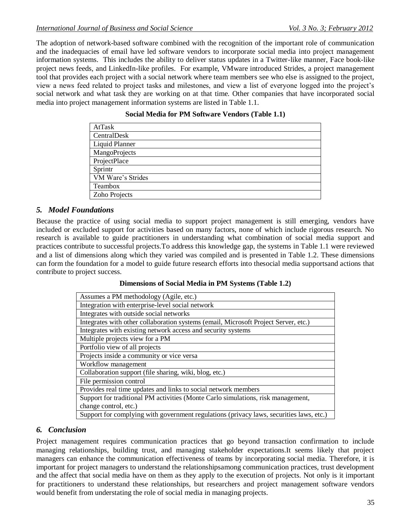The adoption of network-based software combined with the recognition of the important role of communication and the inadequacies of email have led software vendors to incorporate social media into project management information systems. This includes the ability to deliver status updates in a Twitter-like manner, Face book-like project news feeds, and LinkedIn-like profiles. For example, VMware introduced Strides, a project management tool that provides each project with a social network where team members see who else is assigned to the project, view a news feed related to project tasks and milestones, and view a list of everyone logged into the project's social network and what task they are working on at that time. Other companies that have incorporated social media into project management information systems are listed in Table 1.1.

| AtTask            |
|-------------------|
| CentralDesk       |
| Liquid Planner    |
| MangoProjects     |
| ProjectPlace      |
| Sprintr           |
| VM Ware's Strides |
| Teambox           |
| Zoho Projects     |

## **Social Media for PM Software Vendors (Table 1.1)**

#### *5. Model Foundations*

Because the practice of using social media to support project management is still emerging, vendors have included or excluded support for activities based on many factors, none of which include rigorous research. No research is available to guide practitioners in understanding what combination of social media support and practices contribute to successful projects.To address this knowledge gap, the systems in Table 1.1 were reviewed and a list of dimensions along which they varied was compiled and is presented in Table 1.2. These dimensions can form the foundation for a model to guide future research efforts into thesocial media supportsand actions that contribute to project success.

#### **Dimensions of Social Media in PM Systems (Table 1.2)**

| Assumes a PM methodology (Agile, etc.)                                                  |
|-----------------------------------------------------------------------------------------|
| Integration with enterprise-level social network                                        |
| Integrates with outside social networks                                                 |
| Integrates with other collaboration systems (email, Microsoft Project Server, etc.)     |
| Integrates with existing network access and security systems                            |
| Multiple projects view for a PM                                                         |
| Portfolio view of all projects                                                          |
| Projects inside a community or vice versa                                               |
| Workflow management                                                                     |
| Collaboration support (file sharing, wiki, blog, etc.)                                  |
| File permission control                                                                 |
| Provides real time updates and links to social network members                          |
| Support for traditional PM activities (Monte Carlo simulations, risk management,        |
| change control, etc.)                                                                   |
| Support for complying with government regulations (privacy laws, securities laws, etc.) |

## *6. Conclusion*

Project management requires communication practices that go beyond transaction confirmation to include managing relationships, building trust, and managing stakeholder expectations.It seems likely that project managers can enhance the communication effectiveness of teams by incorporating social media. Therefore, it is important for project managers to understand the relationshipsamong communication practices, trust development and the affect that social media have on them as they apply to the execution of projects. Not only is it important for practitioners to understand these relationships, but researchers and project management software vendors would benefit from understating the role of social media in managing projects.